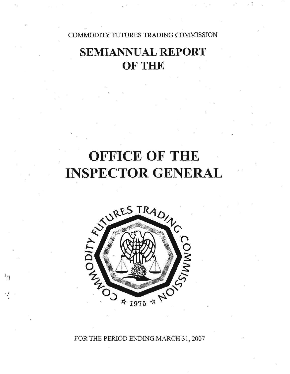COMMODITY FUTURES TRADING COMMISSION

# **SEMIANNUAL REPORT** OF THE

# **OFFICE OF THE INSPECTOR GENERAL**



 $\ddot{\cdot}$ 

FOR THE PERIOD ENDING MARCH 31, 2007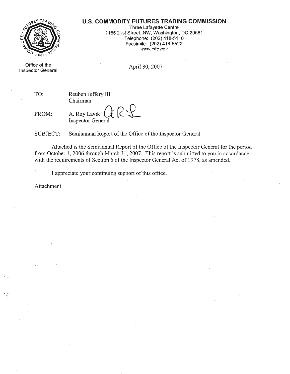### **U.S. COMMODITY FUTURES TRADING COMMISSION**



Three Lafayette Centre 1155 21st Street, NW, Washington, DC 20581 Telephone: (202) 418-5110 Facsimile: (202) 418-5522 www.cftc.gov

Office of the Inspector General

April 30, 2007

TO: Reuben Jeffery III Chairman

FROM:

A. Roy Lavik  $Q \mathcal{R}$ Inspector General

SUBJECT: Semiannual Report of the Office of the Inspector General

Attached is the Semiannual Report of the Office of the Inspector General for the period from October 1, 2006 through March 31, 2007. This report is submitted to you in accordance with the requirements of Section 5 of the Inspector General Act of 1978, as amended.

I appreciate your continuing support of this office.

Attachment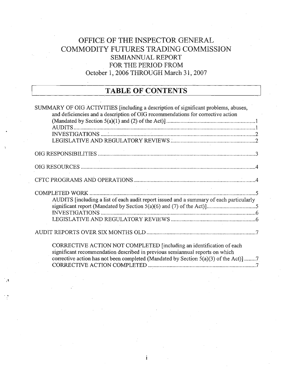### OFFICE OF THE INSPECTOR GENERAL COMMODITY FUTURES TRADING COMMISSION SEMIANNUAL REPORT FOR THE PERIOD FROM October 1, 2006 THROUGH March 31, 2007

### **TABLE OF CONTENTS**

| SUMMARY OF OIG ACTIVITIES [including a description of significant problems, abuses,<br>and deficiencies and a description of OIG recommendations for corrective action |  |
|------------------------------------------------------------------------------------------------------------------------------------------------------------------------|--|
|                                                                                                                                                                        |  |
|                                                                                                                                                                        |  |
|                                                                                                                                                                        |  |
|                                                                                                                                                                        |  |
|                                                                                                                                                                        |  |
|                                                                                                                                                                        |  |
|                                                                                                                                                                        |  |
| <b>COMPLETED WORK</b>                                                                                                                                                  |  |
| AUDITS [including a list of each audit report issued and a summary of each particularly                                                                                |  |
|                                                                                                                                                                        |  |
|                                                                                                                                                                        |  |
|                                                                                                                                                                        |  |
|                                                                                                                                                                        |  |
| CORRECTIVE ACTION NOT COMPLETED [including an identification of each                                                                                                   |  |
| significant recommendation described in previous semiannual reports on which                                                                                           |  |
| corrective action has not been completed (Mandated by Section $5(a)(3)$ of the Act)] 7                                                                                 |  |
|                                                                                                                                                                        |  |

i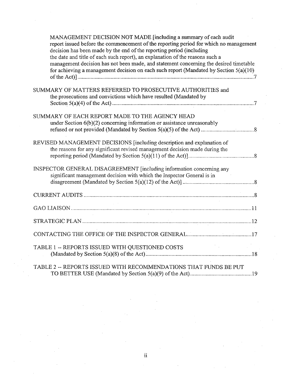| MANAGEMENT DECISION NOT MADE [including a summary of each audit<br>report issued before the commencement of the reporting period for which no management<br>decision has been made by the end of the reporting period (including<br>the date and title of each such report), an explanation of the reasons such a<br>management decision has not been made, and statement concerning the desired timetable<br>for achieving a management decision on each such report (Mandated by Section $5(a)(10)$ |
|-------------------------------------------------------------------------------------------------------------------------------------------------------------------------------------------------------------------------------------------------------------------------------------------------------------------------------------------------------------------------------------------------------------------------------------------------------------------------------------------------------|
| SUMMARY OF MATTERS REFERRED TO PROSECUTIVE AUTHORITIES and<br>the prosecutions and convictions which have resulted (Mandated by                                                                                                                                                                                                                                                                                                                                                                       |
| SUMMARY OF EACH REPORT MADE TO THE AGENCY HEAD<br>under Section $6(b)(2)$ concerning information or assistance unreasonably                                                                                                                                                                                                                                                                                                                                                                           |
| REVISED MANAGEMENT DECISIONS [including description and explanation of<br>the reasons for any significant revised management decision made during the                                                                                                                                                                                                                                                                                                                                                 |
| INSPECTOR GENERAL DISAGREEMENT [including information concerning any<br>significant management decision with which the Inspector General is in                                                                                                                                                                                                                                                                                                                                                        |
|                                                                                                                                                                                                                                                                                                                                                                                                                                                                                                       |
|                                                                                                                                                                                                                                                                                                                                                                                                                                                                                                       |
|                                                                                                                                                                                                                                                                                                                                                                                                                                                                                                       |
|                                                                                                                                                                                                                                                                                                                                                                                                                                                                                                       |
| TABLE 1 -- REPORTS ISSUED WITH QUESTIONED COSTS                                                                                                                                                                                                                                                                                                                                                                                                                                                       |
| TABLE 2 -- REPORTS ISSUED WITH RECOMMENDATIONS THAT FUNDS BE PUT                                                                                                                                                                                                                                                                                                                                                                                                                                      |

 $\sim$ 

 $\sim$ 

 $\sim 10^{-1}$ 

 $\sim 10^6$ 

 $\bar{\psi}$ 

 $\sim 10$ 

 $\sim$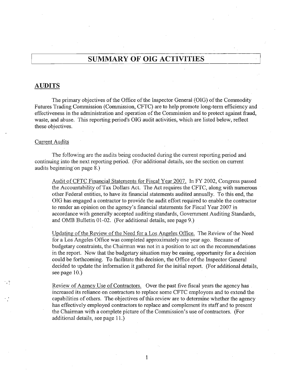### **SUMMARY OF OIG ACTIVITIES**

### **AUDITS**

The primary objectives of the Office of the Inspector General (OIG) of the Commodity Futures Trading Commission (Commission, CFTC) are to help promote long-term efficiency and effectiveness in the administration and operation of the Commission and to protect against fraud, waste, and abuse. This reporting period's OIG audit activities, which are listed below, reflect these objectives.

### Current Audits

The following are the audits being conducted during the current reporting period and continuing into the next reporting period. (For additional details, see the section on current audits beginning on page 8.)

Audit ofCFTC Financial Statements for Fiscal Year 2007. In FY 2002, Congress passed the Accountability ofTax Dollars Act. The Act requires the CFTC, along with numerous other Federal entities, to have its financial statements audited annually. To this end, the OIG has engaged a contractor to provide the audit effort required to enable the contractor to render an opinion on the agency's financial statements for Fiscal Year 2007 in accordance with generally accepted auditing standards, Government Auditing Standards, and OMB Bulletin 01-02. (For additional details, see page 9.)

Updating of the Review of the Need for a Los Angeles Office. The Review of the Need for a Los Angeles Office was completed approximately one year ago. Because of budgetary constraints, the Chairman was not in a position to act on the recommendations in the report. Now that the budgetary situation may be easing, opportunity for a decision could be forthcoming. To facilitate this decision, the Office of the Inspector General decided to update the information it gathered for the initial report. (For additional details, see page 10.)

Review of Agency Use of Contractors. Over the past five fiscal years the agency has increased its reliance on contractors to replace some CFTC employees and to extend the capabilities of others. The objectives of this review are to determine whether the agency has effectively employed contractors to replace and complement its staff and to present the Chairman with a complete picture of the Commission's use of contractors. (For additional details, see page 11.)

1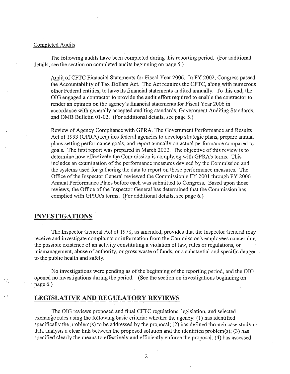### Completed Audits

The following audits have been completed during this reporting period. (For additional details, see the section on completed audits beginning on page 5.)

Audit of CFTC Financial Statements for Fiscal Year 2006. In FY 2002, Congress passed the Accountability of Tax Dollars Act. The Act requires the CFTC, along with numerous other Federal entities, to have its financial statements audited annually. To this end, the DIG engaged a contractor to provide the audit effort required to enable the contractor to render an opinion on the agency's financial statements for Fiscal Year 2006 in accordance with generally accepted auditing standards, Government Auditing Standards, and OMB Bulletin 01-02. (For additional details, see page 5.)

Review of Agency Compliance with GPRA. The Government Performance and Results Act of 1993 (GPRA) requires federal agencies to develop strategic plans, prepare annual plans setting performance goals, and report annually on actual performance compared to goals. The first report was prepared in March 2000. The objective ofthis review is to determine how effectively the Commission is complying with GPRA's terms. This includes an examination of the performance measures devised by the Commission and the systems used for gathering the data to report on those performance measures. The Office of the Inspector General reviewed the Commission's FY 2001 through FY 2006 Annual Performance Plans before each was submitted to Congress. Based upon those reviews, the Office of the Inspector General has determined that the Commission has complied with GPRA's terms. (For additional details, see page 6.)

### **INVESTIGATIONS**

The Inspector General Act of 1978, as amended, provides that the Inspector General may receive and investigate complaints or information from the Commission's employees concerning the possible existence of an activity constituting a violation of law, rules or regulations, or mismanagement, abuse of authority, or gross waste of funds, or a substantial and specific danger to the public health and safety.

No investigations were pending as of the beginning of the reporting period, and the OIG opened no investigations during the period. (See the section on investigations beginning on page 6.)

### **LEGISLATIVE AND REGULATORY REVIEWS**

The DIG reviews proposed and final CFTC regulations, legislation, and selected exchange rules using the following basic criteria: whether the agency: (1) has identified specifically the problem(s) to be addressed by the proposal; (2) has defined through case study or data analysis a clear link between the proposed solution and the identified problem(s); (3) has specified clearly the means to effectively and efficiently enforce the proposal; (4) has assessed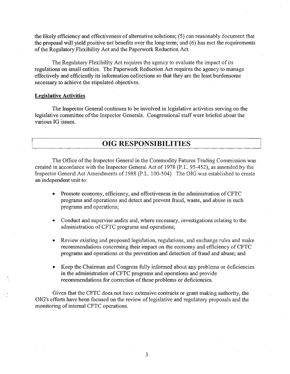the likely efficiency and effectiveness of alternative solutions; (5) can reasonably document that the proposal will yield positive net benefits over the long term; and (6) has met the requirements of the Regulatory Flexibility Act and the Paperwork Reduction Act.

The Regulatory Flexibility Act requires the agency to evaluate the impact of its regulations on small entities. The Paperwork Reduction Act requires the agency to manage effectively and efficiently its infonnation collections so that they are the least burdensome necessary to achieve the stipulated objectives.

### **Legislative Activities**

The Inspector General continues to be involved in legislative activities serving on the legislative committee of the Inspector Generals. Congressional staff were briefed about the various IG issues.

### **OIG RESPONSIBILITIES**

The Office of the Inspector General in the Commodity Futures Trading Commission was created in accordance with the Inspector General Act of 1978 (P.L. 95-452), as amended by the Inspector General Act Amendments of 1988 (P.L. 100-504). The OIG was established to create an independent unit to:

- Promote economy, efficiency, and effectiveness in the administration of CFTC programs and operations and detect and prevent fraud, waste, and abuse in such programs and operations;
- Conduct and supervise audits and, where necessary, investigations relating to the administration of CFTC programs and operations;
- Review existing and proposed legislation, regulations, and exchange rules and make recommendations concerning their impact on the economy and efficiency of CFTC programs and operations or the prevention and detection of fraud and abuse; and
- Keep the Chairman and Congress fully informed about any problems or deficiencies in the administration ofCFTC programs and operations and provide recommendations for correction of these problems or deficiencies.

Given that the CFTC does not have extensive contracts or grant making authority, the OIG's efforts have been focused on the review of legislative and regulatory proposals and the monitoring of internal CFTC operations.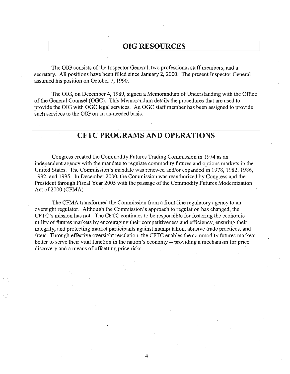### **OIG RESOURCES**

The OIG consists of the Inspector General, two professional staff members, and a secretary. All positions have been filled since January 2,2000. The present Inspector General assumed his position on October 7, 1990.

The OIG, on December 4, 1989, signed a Memorandum of Understanding with the Office of the General Counsel (OGC). This Memorandum details the procedures that are used to provide the OIG with OGC legal services. An OGC staff member has been assigned to provide such services to the OIG on an as-needed basis.

### **CFTC PROGRAMS AND OPERATIONS**

Congress created the Commodity Futures Trading Commission in 1974 as an independent agency with the mandate to regulate commodity futures and options markets in the United States. The Commission's mandate was renewed and/or expanded in 1978, 1982, 1986, 1992, and 1995. In December 2000, the Commission was reauthorized by Congress and the President through Fiscal Year 2005 with the passage of the Commodity Futures Modernization Act of 2000 (CFMA).

The CFMA transformed the Commission from a front-line regulatory agency to an oversight regulator. Although the Commission's approach to regulation has changed, the CFTC's mission has not. The CFTC continues to be responsible for fostering the economic utility of futures markets by encouraging their competitiveness and efficiency, ensuring their integrity, and protecting market participants against manipulation, abusive trade practices, and fraud. Through effective oversight regulation, the CFTC enables the commodity futures markets better to serve their vital function in the nation's economy -- providing a mechanism for price discovery and a means of offsetting price risks.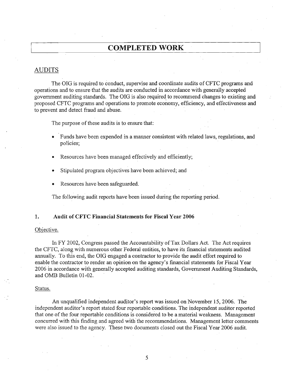### **COMPLETED WORK**

### AUDITS

The OIG is required to conduct, supervise and coordinate audits of CFTC programs and operations and to ensure that the audits are conducted in accordance with generally accepted government auditing standards. The OIG is also required to recommend changes to existing and proposed CFTC programs and operations to promote economy, efficiency, and effectiveness and to prevent and detect fraud and abuse.

The purpose of these audits is to ensure that:

- Funds have been expended in a manner consistent with related laws, regulations, and policies;
- Resources have been managed effectively and efficiently;
- Stipulated program objectives have been achieved; and
- Resources have been safeguarded.

The following audit reports have been issued during the reporting period.

#### 1. Audit of CFTC Financial Statements for Fiscal Year 2006

#### Objective.

In FY 2002, Congress passed the Accountability of Tax Dollars Act. The Act requires the CFTC, along with numerous other Federal entities, to have itsfinancial statements audited annually. To this end, the OIG engaged a contractor to provide the audit effort required to enable the contractor to render an opinion on the agency's financial statements for Fiscal Year 2006 in accordance with generally accepted auditing standards, Government Auditing Standards, and OMB Bulletin 01-02.

### Status.

An unqualified independent auditor's report was issued on November 15,2006. The independent auditor's report stated four reportable conditions. The independent auditor reported that one of the four reportable conditions is considered to be a material weakness. Management concurred with this finding and agreed with the recommendations. Management letter comments were also issued to the agency. These two documents closed out the Fiscal Year 2006 audit.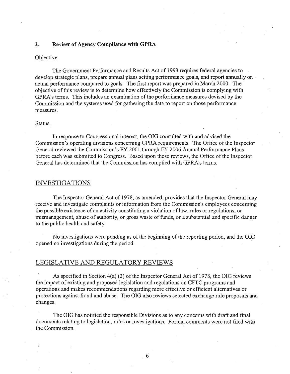### 2. Review of Agency Compliance with GPRA

#### Objective.

The Government Performance and Results Act of 1993 requires federal agencies to develop strategic plans, prepare annual plans setting performance goals, and report annually on actual performance compared to goals. The first report was prepared in March 2000. The objective ofthis review is to determine how effectively the Commission is complying with GPRA's terms. This includes an examination of the performance measures devised by the Commission and the systems used for gathering the data to report on those performance measures.

#### Status.

In response to Congressional interest, the OIG consulted with and advised the Commission's operating divisions concerning GPRA requirements. The Office of the Inspector General reviewed the Commission's FY 2001 through FY 2006 Annual Performance Plans before each was submitted to Congress. Based upon those reviews, the Office of the Inspector General has determined that the Commission has complied with GPRA's terms.

### INVESTIGATIONS

The Inspector General Act of 1978, as amended, provides that the Inspector General may receive and investigate complaints or information from the Commission's employees concerning the possible existence of an activity constituting a violation oflaw, rules or regulations, or mismanagement, abuse of authority, or gross waste of funds, or a substantial and specific danger to the public health and safety.

No investigations were pending as of the beginning of the reporting period, and the OIG opened no investigations during the period.

### LEGISLATIVE AND REGULATORY REVIEWS

As specified in Section  $4(a)$  (2) of the Inspector General Act of 1978, the OIG reviews the impact of existing and proposed legislation and regulations on CFTC programs and operations and makes recommendations regarding more effective or efficient alternatives or protections against fraud and abuse. The OIG also reviews selected exchange rule proposals and changes.

The OIG has notified the responsible Divisions as to any concerns with draft and final documents relating to legislation, rules or investigations. Formal comments were not filed with the Commission.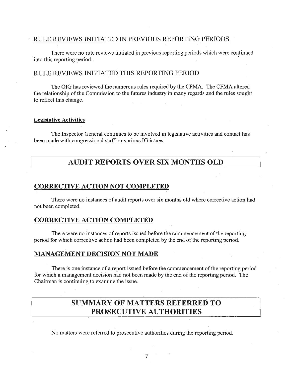### RULE REVIEWS INITIATED IN PREVIOUS REPORTING PERIODS

There were no rule reviews initiated in previous reporting periods which were continued into this reporting period. .

### RULE REVIEWS INITIATED THIS REPORTING PERIOD

The OIG has reviewed the numerous rules required by the CFMA. The CFMA altered the relationship of the Commission to the futures industry in many regards and the rules sought to reflect this change.

### Legislative Activities

The Inspector General continues to be involved in legislative activities and contact has been made with congressional staff on various IG issues.

### AUDIT REPORTS OVER SIX MONTHS OLD

### CORRECTIVE ACTION NOT COMPLETED

There were no instances of audit reports over six months old where corrective action had not been completed.

### CORRECTIVE ACTION COMPLETED

There were no instances of reports issued before the commencement of the reporting period for which corrective action had been completed by the end of the reporting period.

### MANAGEMENT DECISION NOT MADE

There is one instance of a report issued before the commencement of the reporting period for which a management decision had not been made by the end of the reporting period. The Chairman is continuing to examine the issue.

### SUMMARY OF MATTERS REFERRED TO PROSECUTIVE AUTHORITIES

No matters were referred to prosecutive authorities during the reporting period.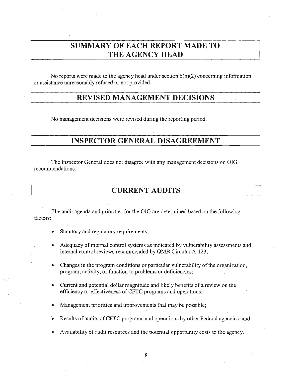### **SUMMARY OF EACH REPORT MADE TO THE AGENCY HEAD**

No reports were made to the agency head under section 6(b)(2) concerning information or assistance unreasonably refused or not provided.

### **REVISED MANAGEMENT DECISIONS**

No management decisions were revised during the reporting period.

### **INSPECTOR GENERAL DISAGREEMENT**

The Inspector General does not disagree with any management decisions on OIG recommendations.

**CURRENT AUDITS**

The audit agenda and priorities for the OIG are determined based on the following factors:

- Statutory and regulatory requirements;
- Adequacy of internal control systems as indicated by vulnerability assessments and internal control reviews recommended by OMB Circular A-123;
- Changes in the program conditions or particular vulnerability of the organization, program, activity, or function to problems or deficiencies;
- Current and potential dollar magnitude and likely benefits of a review on the efficiency or effectiveness of CFTC programs and operations;
- Management priorities and improvements that may be possible;
- Results of audits of CFTC programs and operations by other Federal agencies; and
- Availability of audit resources and the potential opportunity costs to the agency.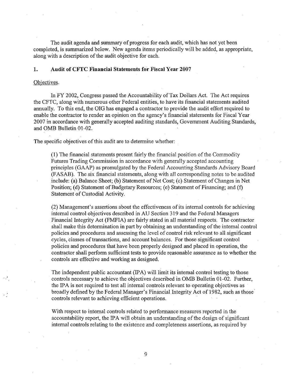The audit agenda and summary of progress for each audit, which has not yet been completed, is summarized below. New agenda items periodically will be added, as appropriate, along with a description of the audit objective for each.

### **1. Audit of eYre Financial Statements for Fiscal Year 2007**

#### Objectives.

In FY 2002, Congress passed the Accountability of Tax Dollars Act. The Act requires the CFTC, along with numerous other Federal entities, to have its financial statements audited annually. To this end, the OIG has engaged a contractor to provide the audit effort required to enable the contractor to render an opinion on the agency's financial statements for Fiscal Year 2007 in accordance with generally accepted auditing standards, Government Auditing Standards, and OMB Bulletin 01-02.

The specific objectives of this audit are to determine whether:

(1) The financial statements present fairly the financial position ofthe Commodity Futures Trading Commission in accordance with generally accepted accounting principles (GAAP) as promulgated by the Federal Accounting Standards Advisory Board (FASAB). The six financial statements, along with all corresponding notes to be audited include: (a) Balance Sheet; (b) Statement of Net Cost; (c) Statement of Changes in Net Position; (d) Statement of Budgetary Resources; (e) Statement of Financing; and (f) Statement of Custodial Activity.

(2) Management's assertions about the effectiveness of its internal controls for achieving internal control objectives described in AU Section 319 and the Federal Managers Financial Integrity Act (FMFIA) are fairly stated in all material respects. The contractor shall make this determination in part by obtaining an understanding of the internal control policies and procedures and assessing the level of control risk relevant to all significant cycles, classes of transactions, and account balances. For those significant control policies and procedures that have been properly designed and placed in operation, the contractor shall perform sufficient tests to provide reasonable assurance as to whether the controls are effective and working as designed.

The independent public accountant (IPA) will limit its internal control testing to those controls necessary to achieve the objectives described in OMB Bulletin 01-02. Further, the IPA is not required to test all internal controls relevant to operating objectives as broadly defined by the Federal Manager's Financial Integrity Act of 1982, such as those controls relevant to achieving efficient operations.

With respect to internal controls related to performance measures reported in the accountability report, the IPA will obtain an understanding of the design of significant internal controls relating to the existence and completeness assertions, as required by

9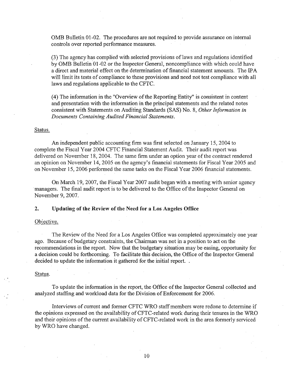OMB Bulletin 01-02. The procedures are not required to provide assurance on internal controls over reported performance measures.

(3) The agency has complied with selected provisions oflaws and regulations identified by OMB Bulletin 01-02 or the Inspector General, noncompliance with which could have a direct and material effect on the determination of financial statement amounts. The IPA will limit its tests of compliance to these provisions and need not test compliance with all laws and regulations applicable to the CFTC.

(4) The information in the "Overview of the Reporting Entity" is consistent in content and presentation with the information in the principal statements and the related notes consistent with Statements on Auditing Standards (SAS) No.8, *Other Information in Documents Containing Audited Financial Statements.*

#### Status.

An independent public accounting firm was first selected on January 15, 2004 to complete the Fiscal Year 2004 CFTC Financial Statement Audit. Their audit report was delivered on November 18, 2004. The same firm under an option year of the contract rendered an opinion on November 14,2005 on the agency's financial statements for Fiscal Year 2005 and on November 15,2006 performed the same tasks on the Fiscal Year 2006 financial statements.

On March 19, 2007, the Fiscal Year 2007 audit began with a meeting with senior agency managers. The final audit report is to be delivered to the Office of the Inspector General on November 9, 2007.

#### 2. Updating of the Review of the Need for a Los Angeles Office

#### Objective.

The Review of the Need for a Los Angeles Office was completed approximately one year ago. Because of budgetary constraints, the Chairman was not in a position to act on the recommendations in the report. Now that the budgetary situation may be easing, opportunity for a decision could be forthcoming. To facilitate this decision, the Office of the Inspector General decided to update the information it gathered for the initial report...

#### Status.

To update the information in the report, the Office of the Inspector General collected and analyzed staffing and workload data for the Division of Enforcement for 2006.

Interviews of current and former CFTC WRO staff members were redone to determine if the opinions expressed on the availability of CFTC-related work during their tenures in the WRO and their opinions of the current availability of CFTC-related work in the area formerly serviced by WRO have changed.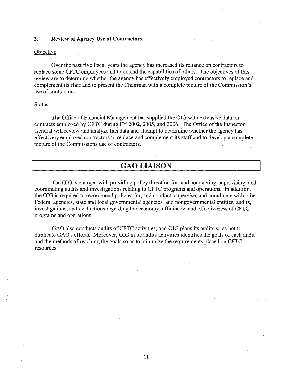### 3. Review of Agency Use of Contractors.

### Objective.

Over the past five fiscal years the agency has increased its reliance on contractors to replace some CFTC employees and to extend the capabilities of others. The objectives of this review are to determine whether the agency has effectively employed contractors to replace and complement its staff and to present the Chairman with a complete picture of the Commission's use of contractors.

### Status.

The Office of Financial Management has supplied the OIG with extensive data on contracts employed by CFTC during FY 2002, 2005, and 2006. The Office ofthe Inspector General will review and analyze this data and attempt to detennine whether the agency has effectively employed contractors to replace and complement its staff and to develop a complete picture of the Commissions use of contractors.

### GAO LIAISON

The OIG is charged with providing policy direction for, and conducting, supervising, and coordinating audits and investigations relating to CFTC programs and operations. In addition, the OIG is required to recommend policies for, and conduct, supervise, and coordinate with other Federal agencies, state and local governmental agencies, and nongovernmental entities, audits, investigations, and evaluations regarding the economy, efficiency, and effectiveness of CFTC programs and operations.

GAO also conducts audits of CFTC activities, and OIG plans its audits so as not to duplicate GAO's efforts. Moreover, OIG in its audits activities identifies the goals of each audit and the methods of reaching the goals so as to minimize the requirements placed on CFTC resources.

11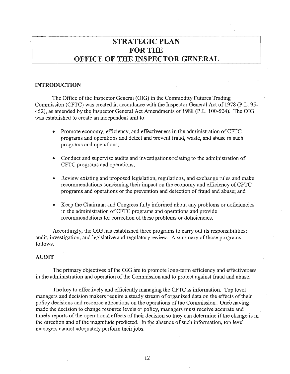### **STRATEGIC PLAN** FOR THE **OFFICE OF THE INSPECTOR GENERAL**

#### **INTRODUCTION**

The Office of the Inspector General (OIG) in the Commodity Futures Trading Commission (CFTC) was created in accordance with the Inspector General Act of 1978 (p.L. 95- 452), as amended by the Inspector General Act Amendments of 1988 (P.L. 100-504). The OIG was established to create an independent unit to:

- Promote economy, efficiency, and effectiveness in the administration of CFTC programs and operations and detect and prevent fraud, waste, and abuse in such programs and operations;
- Conduct and supervise audits and investigations relating to the administration of CFTC programs and operations;
- Review existing and proposed legislation, regulations, and exchange rules and make recommendations concerning their impact on the economy and efficiency of CFTC programs and operations or the prevention and detection of fraud and abuse; and
- Keep the Chairman and Congress fully informed about any problems or deficiencies in the administration ofCFTC programs and operations and provide recommendations for correction of these problems or deficiencies.

Accordingly, the DIG has established three programs to carry out its responsibilities: audit, investigation, and legislative and regulatory review. A summary of those programs follows.

### **AUDIT**

The primary objectives of the OIG are to promote long-term efficiency and effectiveness in the administration and operation of the Commission and to protect against fraud and abuse.

The key to effectively and efficiently managing the CFTC is information. Top level managers and decision makers require a steady stream of organized data on the effects of their policy decisions and resource allocations on the operations of the Commission. Once having made the decision to change resource levels or policy, managers must receive accurate and timely reports of the operational effects of their decision so they can determine if the change is in the direction and of the magnitude predicted. In the absence of such information, top level managers cannot adequately perform their jobs.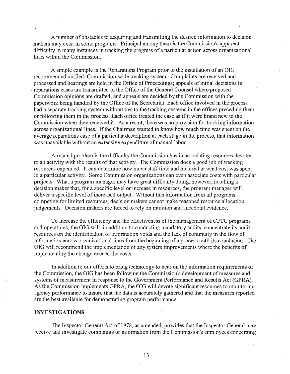A number of obstacles to acquiring and transmitting the desired information to decision makers may exist in some programs. Principal among them is the Commission's apparent difficulty in many instances in tracking the progress of a particular action across organizational lines within the Commission.

A simple example is the Reparations Program prior to the installation of an OIG recommended unified, Commission-wide tracking system. Complaints are received and processed and hearings are held in the Office of Proceedings; appeals of initial decisions in reparations cases are transmitted to the Office of the General Counsel where proposed Commission opinions are drafted; and appeals are decided by the Commission with the paperwork being handled by the Office of the Secretariat. Each office involved in the process had a separate tracking system without ties to the tracking systems in the offices preceding them or following them in the process. Each office treated the case as if it were brand new to the Commission when they received it. As a result, there was no provision for tracking information across organizational lines. If the Chairman wanted to know how much time was spent on the average reparations case of a particular description at each stage in the process, that information was unavailable without an extensive expenditure of manual labor.

A related problem is the difficulty the Commission has in associating resources devoted to an activity with the results of that activity. The Commission does a good job of tracking resources expended. It can determine how much stafftime and material at what cost was spent in a particular activity. Some Commission organizations can even associate costs with particular projects. What a program manager may have great difficulty doing, however, is telling a decision maker that, for a specific level or increase in resources, the program manager will deliver a specific level of increased output. Without this information from all programs competing for limited resources, decision makers cannot make reasoned resource allocation judgements. Decision makers are forced to rely on intuition and anecdotal evidence.

To increase the efficiency and the effectiveness ofthe management ofCFTC programs and operations, the OIG will, in addition to conducting mandatory audits, concentrate its audit resources on the identification of information voids and the lack of continuity in the flow of information across organizational lines from the beginning of a process until its conclusion. The OIG will recommend the implementation of any system improvements where the benefits of implementing the change exceed the costs.

In addition to our efforts to bring technology to bear on the information requirements of the Commission, the OIG has been following the Commission's development of measures and systems of measurement in response to the Government Performance and Results Act (GPRA). As the Commission implements GPRA, the OIG will devote significant resources to monitoring agency performance to insure that the data is accurately gathered and that the measures reported are the best available for demonstrating program performance.

### **INVESTIGATIONS**

The Inspector General Act of 1978, as amended, provides that the Inspector General may receive and investigate complaints or information from the Commission's employees concerning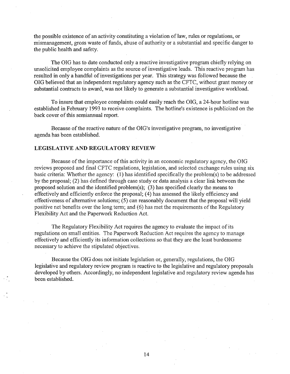the possible existence of an activity constituting a violation of law, rules or regulations, or mismanagement, gross waste of funds, abuse of authority or a substantial and specific danger to the public health and safety.

The OIG has to date conducted only a reactive investigative program chiefly relying on unsolicited employee complaints as the source of investigative leads. This reactive program has resulted in only a handful of investigations per year. This strategy was followed because the OIG believed that an independent regulatory agency such as the CFTC, without grant money or substantial contracts to award, was not likely to generate a substantial investigative workload.

To insure that employee complaints could easily reach the OIG, a 24-hour hotline was established in February 1993 to receive complaints. The hotline's existence is publicized on the back cover of this semiannual report.

Because of the reactive nature of the OIG's investigative program, no investigative agenda has been established.

### LEGISLATIVE AND REGULATORY REVIEW

Because of the importance of this activity in an economic regulatory agency, the OIG reviews proposed and final CFTC regulations, legislation, and selected exchange rules using six basic criteria: Whether the agency: (1) has identified specifically the problem(s) to be addressed by the proposal; (2) has defined through case study or data analysis a clear link between the proposed solution and the identified problem(s); (3) has specified clearly the means to effectively and efficiently enforce the proposal; (4) has assessed the likely efficiency and effectiveness of alternative solutions; (5) can reasonably document that the proposal will yield positive net benefits over the long term; and  $(6)$  has met the requirements of the Regulatory Flexibility Act and the Paperwork Reduction Act.

The Regulatory Flexibility Act requires the agency to evaluate the impact of its regulations on small entities. The Paperwork Reduction Act requires the agency to manage effectively and efficiently its information collections so that they are the least burdensome necessary to achieve the stipulated objectives.

Because the OIG does not initiate legislation or, generally, regulations, the OIG legislative and regulatory review program is reactive to the legislative and regulatory proposals developed by others. Accordingly, no independent legislative and regulatory review agenda has been established.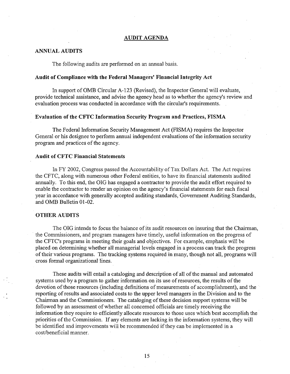### AUDIT AGENDA

### ANNUAL AUDITS

The following audits are performed on an annual basis.

### Audit of Compliance with the Federal Managers' Financial Integrity Act

In support of OMB Circular A-123 (Revised), the Inspector General will evaluate, provide technical assistance, and advise the agency head as to whether the agency's review and evaluation process was conducted in accordance with the circular's requirements.

### Evaluation of the CFTC Information Security Program and Practices, FISMA

The Federal Information Security Management Act (FISMA) requires the Inspector General or his designee to perform annual independent evaluations of the information security program and practices of the agency.

### Audit of CFTC Financial Statements

In FY 2002, Congress passed the Accountability of Tax Dollars Act. The Act requires the CFTC, along with numerous other Federal entities, to have its financial statements audited annually. To this end, the OIG has engaged a contractor to provide the audit effort required to enable the contractor to render an opinion on the agency's financial statements for each fiscal year in accordance with generally accepted auditing standards, Government Auditing Standards, and OMB Bulletin 01-02.

### OTHER AUDITS

The OIG intends to focus the balance of its audit resources on insuring that the Chairman, the Commissioners, and program managers have timely, useful information on the progress of the CFTC's programs in meeting their goals and objectives. For example, emphasis will be placed on determining whether all managerial levels engaged in a process can track the progress of their various programs. The tracking systems required in many, though not all, programs will cross formal organizational lines.

These audits will entail a cataloging and description of all of the manual and automated systems used by a program to gather information on its use of resources, the results of the devotion of those resources (including definitions of measurements of accomplishment), and the reporting of results and associated costs to the upper level managers in the Division and to the Chairman and the Commissioners. The cataloging of these decision support systems will be followed by an assessment of whether all concerned officials are timely receiving the information they require to efficiently allocate resources to those uses which best accomplish the· priorities of the Commission. If any elements are lacking in the information systems, they will be identified and improvements will be recommended if they can be implemented in a cost/beneficial manner.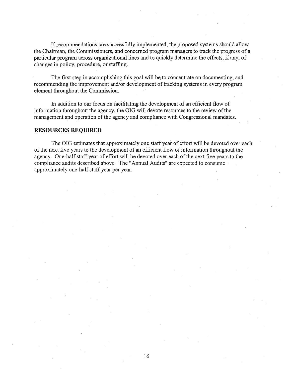If recommendations are successfully implemented, the proposed systems should allow the Chairman, the Commissioners, and concerned program managers to track the progress of a particular program across organizational lines and to quickly determine the effects, if any, of changes in policy, procedure, or staffing.

The first step in accomplishing this goal will be to concentrate on documenting, and recommending the improvement and/or development of tracking systems in every program element throughout the Commission.

In addition to our focus on facilitating the development of an efficient flow of information throughout the agency, the OIG will devote resources to the review of the management and operation of the agency and compliance with Congressional mandates.

### **RESOURCES REQUIRED**

The OIG estimates that approximately one staff year of effort will be devoted over each of the next five years to the development of an efficient flow of information throughout the agency. One-half staff year of effort will be devoted over each of the next five years to the compliance audits described above. The "Annual Audits" are expected to consume· approximately one-half staff year per year.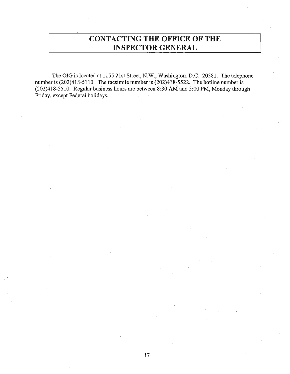### **CONTACTING THE OFFICE OF THE INSPECTOR GENERAL**

The OIG is located at 1155 21st Street, N.W., Washington, D.C. 20581. The telephone number is  $(202)418-5110$ . The facsimile number is  $(202)418-5522$ . The hotline number is (202)418-5510. Regular business hours are between 8:30 AM and 5:00 PM, Monday through Friday, except Federal holidays.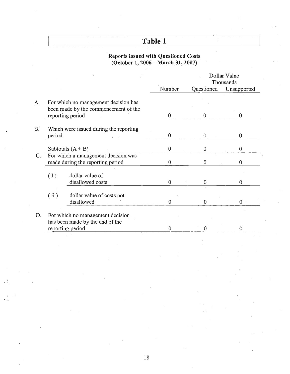# **Table 1**

 $\hat{\mathcal{A}}$ 

### Reports Issued with Questioned Costs (October 1, 2006 - March 31,2007)

|    |                                                                              |                                         |          | Dollar Value<br>Thousands |                |
|----|------------------------------------------------------------------------------|-----------------------------------------|----------|---------------------------|----------------|
|    |                                                                              |                                         | Number   | Questioned                | Unsupported    |
| A. | For which no management decision has<br>been made by the commencement of the |                                         |          |                           |                |
|    |                                                                              | reporting period                        | $\Omega$ | $\theta$                  | $\theta$       |
| B. | Which were issued during the reporting                                       |                                         |          |                           |                |
|    | period                                                                       |                                         | $\bf{0}$ | $\overline{0}$            | $\overline{0}$ |
|    |                                                                              | Subtotals $(A + B)$                     | 0        | $\theta$                  | $\theta$       |
| C. | For which a management decision was<br>made during the reporting period      |                                         | 0        | $\theta$                  | $\mathbf{0}$   |
|    | (1)                                                                          | dollar value of<br>disallowed costs     | $\theta$ | $\theta$                  | $\Omega$       |
|    | (ii)                                                                         | dollar value of costs not<br>disallowed | $\Omega$ | $\Omega$                  | $\Omega$       |
| D. | For which no management decision<br>has been made by the end of the          |                                         |          |                           |                |
|    | reporting period                                                             |                                         | 0        | { }                       | $\theta$       |
|    |                                                                              |                                         |          |                           |                |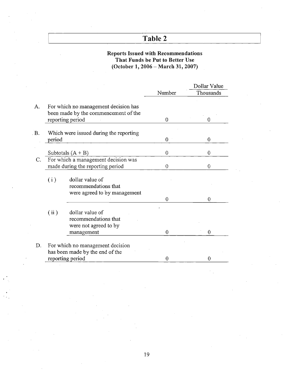## Table 2

### Reports Issued with Recommendations That Funds be Put to Better Use· (October 1,2006 - March 31, 2007)

|      |                                                                         |                                                                                                  |          | Dollar Value   |  |
|------|-------------------------------------------------------------------------|--------------------------------------------------------------------------------------------------|----------|----------------|--|
|      |                                                                         |                                                                                                  | Number   | Thousands      |  |
| A.   |                                                                         | For which no management decision has<br>been made by the commencement of the<br>reporting period | $\theta$ | 0              |  |
| . B. | period                                                                  | Which were issued during the reporting                                                           | $\theta$ | $\overline{0}$ |  |
|      |                                                                         | Subtotals $(A + B)$                                                                              | $\theta$ | 0              |  |
| C.   | For which a management decision was<br>made during the reporting period |                                                                                                  | $\theta$ | 0              |  |
|      | (i)                                                                     | dollar value of<br>recommendations that<br>were agreed to by management                          |          |                |  |
|      | (ii)                                                                    | dollar value of<br>recommendations that<br>were not agreed to by<br>management                   | 0<br>0   | 0<br>0         |  |
| D.   |                                                                         | For which no management decision<br>has been made by the end of the<br>reporting period          | 0        | 0              |  |